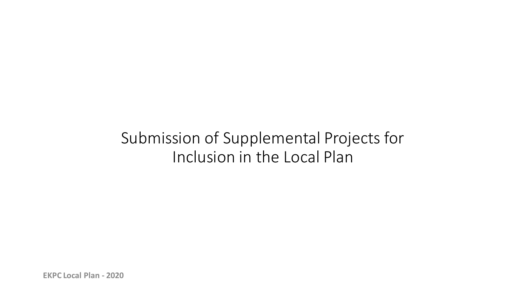# Submission of Supplemental Projects for Inclusion in the Local Plan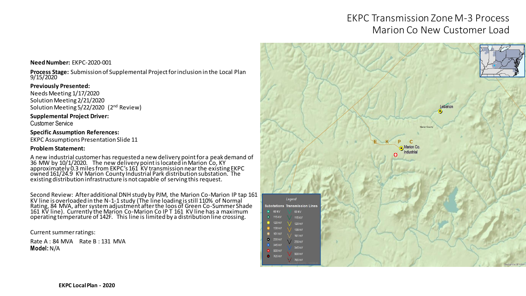## EKPC Transmission Zone M-3 Process Marion Co New Customer Load

### Lebanor Marion Coun **Marion Co** Legend **Substations Transmission Lines**  $60.69$  kV 69 kV  $\bullet$  115 kV 115 kV  $\bullet$  120 kV 120 kV **8** 138 kV 138 kV **6** 161 kV 161 kV  $\bullet$  230 kV 230 kV  $\bullet$  345 kV 345 KV  $6.500 kV$ 500 kV  $-765$  kV 765 kV

#### **Need Number:** EKPC-2020-001

**Process Stage:** Submission of Supplemental Project for inclusion in the Local Plan 9/15/2020

#### **Previously Presented:**

Needs Meeting 1/17/2020 Solution Meeting 2/21/2020 Solution Meeting 5/22/2020 (2nd Review)

#### **Supplemental Project Driver:**

Customer Service

#### **Specific Assumption References:**

EKPC Assumptions Presentation Slide 11

#### **Problem Statement:**

A new industrial customer has requested a new delivery point for a peak demand of 36 MW by 10/1/2020. The new delivery point is located in Marion Co, KY approximately 0.3 miles from EKPC's 161 KV transmission near the existing EKPC owned 161/24.9 KV Marion County Industrial Park distribution substation. The existing distribution infrastructure is not capable of serving this request.

Second Review: After additional DNH study by PJM, the Marion Co-Marion IP tap 161 KV line is overloaded in the N-1-1 study (The line loading is still 110% of Normal Rating, 84 MVA, after system adjustment after the loos of Green Co-Summer Shade 161 KV line). Currently the Marion Co-Marion Co IP T 161 KV line has a maximum operating témperaturé of 142F. This line is limited by a distribution line crossing.

Current summer ratings:

Rate A : 84 MVA Rate B : 131 MVA **Model:** N/A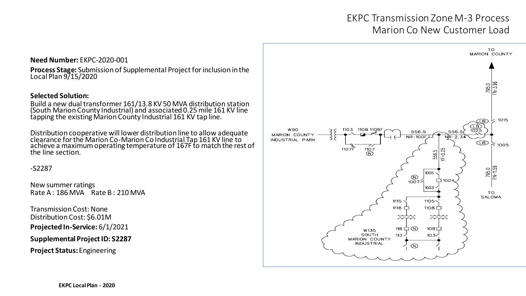## EKPC Transmission Zone M-3 Process Marion Co New Customer Load

#### **Need Number:** EKPC-2020-001

**Process Stage:** Submission of Supplemental Project for inclusion in the Local Plan 9/15/2020

#### **Selected Solution:**

Build a new dual transformer 161/13.8 KV 50 MVA distribution station (South Marion County Industrial) and associated 0.25 mile 161 KV line tapping the existing Marion County Industrial 161 KV tap line.

Distribution cooperative will lower distribution line to allow adequate clearance for the Marion Co-Marion Co Industrial Tap 161 KV line to achieve a maximum operating temperature of 167F to match the rest of the line section.

-S2287

New summer ratings Rate A : 186 MVA Rate B : 210 MVA

Transmission Cost: None Distribution Cost: \$6.01M **Projected In-Service:** 6/1/2021

**Supplemental Project ID: S2287**

**Project Status:** Engineering